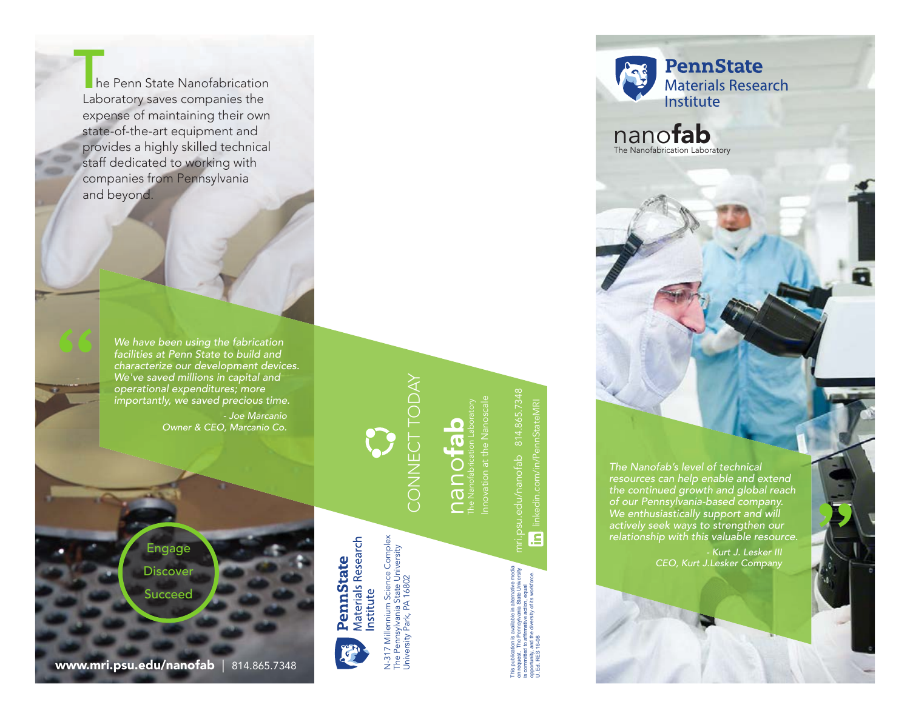he Penn State Nanofabrication Laboratory saves companies the expense of maintaining their own state-of-the-art equipment and provides a highly skilled technical staff dedicated to working with companies from Pennsylvania he Penn St<br>Laboratory sa<br>expense of m<br>state-of-the-a<br>provides a hig<br>staff dedicate<br>companies fra<br>and beyond.

> *We have been using the fabrication facilities at Penn State to build and characterize our development devices. We've saved millions in capital and operational expenditures; more importantly, we saved precious time. - Joe Marcanio Owner & CEO, Marcanio Co.*

> > **Discover Succeed** Engage

"



**Materials Research** PennState nstitute

lennium Science Complex<br>ylvania State University<br>Park, PA 16802 N-317 Millennium Science Complex The Pennsylvania State University University Park, PA 16802 Millennium The Pen

# CONNECT TODAY CONNECT TODAY

# **nanofabrication Labora**<br>The Nanofabrication Labora<br>Innovation at the Nanos Innovation at the Nanoscale

linkedin.com/in/PennStateMRI linkedin.com/in/PennStateMR  $\overline{\mathbf{E}}$ 

This publication is available in alternative media on request. The Pennsylvania State University is committed to affirmative action, equal opportunity, and the diversity of its workforce.

U. Ed. RES 16-08

*The Nanofab's level of technical resources can help enable and extend the continued growth and global reach of our Pennsylvania-based company. We enthusiastically support and will actively seek ways to strengthen our relationship with this valuable resource.* 

nanofab The Nanofabrication Laboratory

**PennState** 

Materials Research<br>Institute

*- Kurt J. Lesker III CEO, Kurt J.Lesker Company* E ALLE